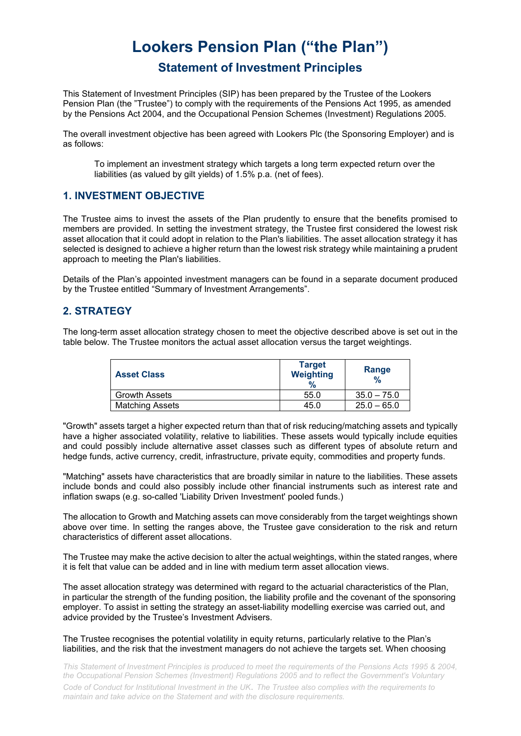# **Lookers Pension Plan ("the Plan")**

# **Statement of Investment Principles**

This Statement of Investment Principles (SIP) has been prepared by the Trustee of the Lookers Pension Plan (the "Trustee") to comply with the requirements of the Pensions Act 1995, as amended by the Pensions Act 2004, and the Occupational Pension Schemes (Investment) Regulations 2005.

The overall investment objective has been agreed with Lookers Plc (the Sponsoring Employer) and is as follows:

To implement an investment strategy which targets a long term expected return over the liabilities (as valued by gilt yields) of 1.5% p.a. (net of fees).

# **1. INVESTMENT OBJECTIVE**

The Trustee aims to invest the assets of the Plan prudently to ensure that the benefits promised to members are provided. In setting the investment strategy, the Trustee first considered the lowest risk asset allocation that it could adopt in relation to the Plan's liabilities. The asset allocation strategy it has selected is designed to achieve a higher return than the lowest risk strategy while maintaining a prudent approach to meeting the Plan's liabilities.

Details of the Plan's appointed investment managers can be found in a separate document produced by the Trustee entitled "Summary of Investment Arrangements".

### **2. STRATEGY**

The long-term asset allocation strategy chosen to meet the objective described above is set out in the table below. The Trustee monitors the actual asset allocation versus the target weightings.

| <b>Asset Class</b>     | <b>Target</b><br><b>Weighting</b><br>$\%$ | Range<br>$\frac{9}{6}$ |
|------------------------|-------------------------------------------|------------------------|
| <b>Growth Assets</b>   | 55.0                                      | $35.0 - 75.0$          |
| <b>Matching Assets</b> | 45.0                                      | $25.0 - 65.0$          |

"Growth" assets target a higher expected return than that of risk reducing/matching assets and typically have a higher associated volatility, relative to liabilities. These assets would typically include equities and could possibly include alternative asset classes such as different types of absolute return and hedge funds, active currency, credit, infrastructure, private equity, commodities and property funds.

"Matching" assets have characteristics that are broadly similar in nature to the liabilities. These assets include bonds and could also possibly include other financial instruments such as interest rate and inflation swaps (e.g. so-called 'Liability Driven Investment' pooled funds.)

The allocation to Growth and Matching assets can move considerably from the target weightings shown above over time. In setting the ranges above, the Trustee gave consideration to the risk and return characteristics of different asset allocations.

The Trustee may make the active decision to alter the actual weightings, within the stated ranges, where it is felt that value can be added and in line with medium term asset allocation views.

The asset allocation strategy was determined with regard to the actuarial characteristics of the Plan, in particular the strength of the funding position, the liability profile and the covenant of the sponsoring employer. To assist in setting the strategy an asset-liability modelling exercise was carried out, and advice provided by the Trustee's Investment Advisers.

The Trustee recognises the potential volatility in equity returns, particularly relative to the Plan's liabilities, and the risk that the investment managers do not achieve the targets set. When choosing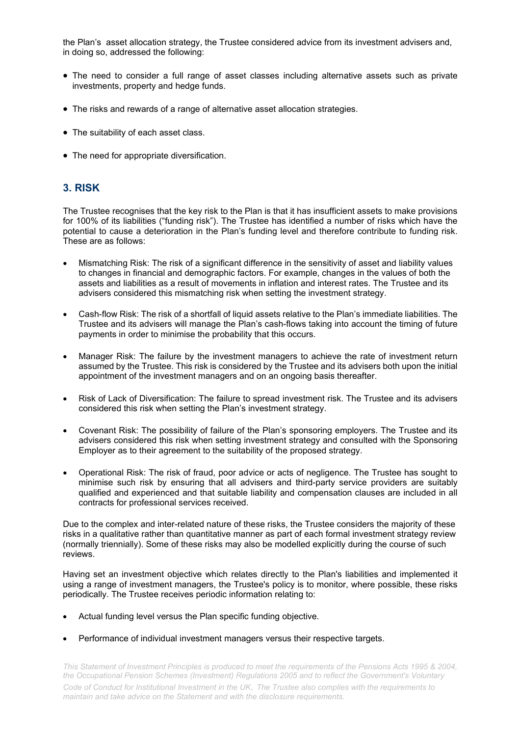the Plan's asset allocation strategy, the Trustee considered advice from its investment advisers and, in doing so, addressed the following:

- The need to consider a full range of asset classes including alternative assets such as private investments, property and hedge funds.
- The risks and rewards of a range of alternative asset allocation strategies.
- The suitability of each asset class.
- The need for appropriate diversification.

## **3. RISK**

The Trustee recognises that the key risk to the Plan is that it has insufficient assets to make provisions for 100% of its liabilities ("funding risk"). The Trustee has identified a number of risks which have the potential to cause a deterioration in the Plan's funding level and therefore contribute to funding risk. These are as follows:

- Mismatching Risk: The risk of a significant difference in the sensitivity of asset and liability values to changes in financial and demographic factors. For example, changes in the values of both the assets and liabilities as a result of movements in inflation and interest rates. The Trustee and its advisers considered this mismatching risk when setting the investment strategy.
- Cash-flow Risk: The risk of a shortfall of liquid assets relative to the Plan's immediate liabilities. The Trustee and its advisers will manage the Plan's cash-flows taking into account the timing of future payments in order to minimise the probability that this occurs.
- Manager Risk: The failure by the investment managers to achieve the rate of investment return assumed by the Trustee. This risk is considered by the Trustee and its advisers both upon the initial appointment of the investment managers and on an ongoing basis thereafter.
- Risk of Lack of Diversification: The failure to spread investment risk. The Trustee and its advisers considered this risk when setting the Plan's investment strategy.
- Covenant Risk: The possibility of failure of the Plan's sponsoring employers. The Trustee and its advisers considered this risk when setting investment strategy and consulted with the Sponsoring Employer as to their agreement to the suitability of the proposed strategy.
- Operational Risk: The risk of fraud, poor advice or acts of negligence. The Trustee has sought to minimise such risk by ensuring that all advisers and third-party service providers are suitably qualified and experienced and that suitable liability and compensation clauses are included in all contracts for professional services received.

Due to the complex and inter-related nature of these risks, the Trustee considers the majority of these risks in a qualitative rather than quantitative manner as part of each formal investment strategy review (normally triennially). Some of these risks may also be modelled explicitly during the course of such reviews.

Having set an investment objective which relates directly to the Plan's liabilities and implemented it using a range of investment managers, the Trustee's policy is to monitor, where possible, these risks periodically. The Trustee receives periodic information relating to:

- Actual funding level versus the Plan specific funding objective.
- Performance of individual investment managers versus their respective targets.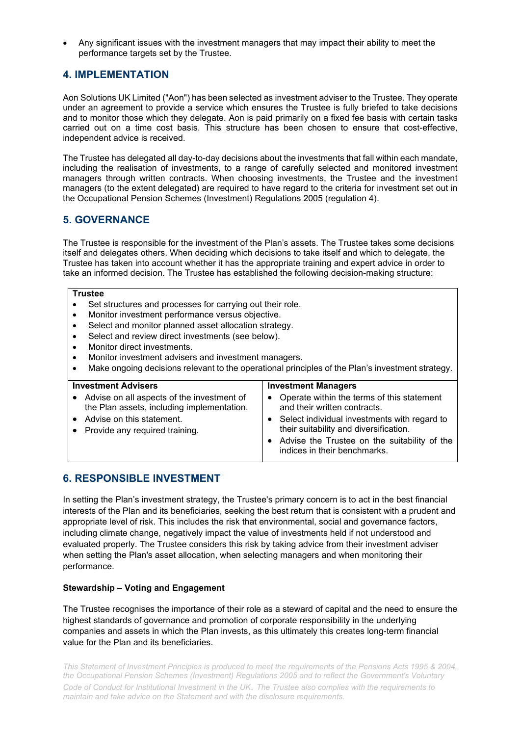• Any significant issues with the investment managers that may impact their ability to meet the performance targets set by the Trustee.

## **4. IMPLEMENTATION**

Aon Solutions UK Limited ("Aon") has been selected as investment adviser to the Trustee. They operate under an agreement to provide a service which ensures the Trustee is fully briefed to take decisions and to monitor those which they delegate. Aon is paid primarily on a fixed fee basis with certain tasks carried out on a time cost basis. This structure has been chosen to ensure that cost-effective, independent advice is received.

The Trustee has delegated all day-to-day decisions about the investments that fall within each mandate, including the realisation of investments, to a range of carefully selected and monitored investment managers through written contracts. When choosing investments, the Trustee and the investment managers (to the extent delegated) are required to have regard to the criteria for investment set out in the Occupational Pension Schemes (Investment) Regulations 2005 (regulation 4).

#### **5. GOVERNANCE**

The Trustee is responsible for the investment of the Plan's assets. The Trustee takes some decisions itself and delegates others. When deciding which decisions to take itself and which to delegate, the Trustee has taken into account whether it has the appropriate training and expert advice in order to take an informed decision. The Trustee has established the following decision-making structure:

#### **Trustee**

- Set structures and processes for carrying out their role.
- Monitor investment performance versus objective.
- Select and monitor planned asset allocation strategy.
- Select and review direct investments (see below).
- Monitor direct investments.
- Monitor investment advisers and investment managers.
- Make ongoing decisions relevant to the operational principles of the Plan's investment strategy.

#### **Investment Advisers** • Advise on all aspects of the investment of the Plan assets, including implementation. • Advise on this statement. • Provide any required training. **Investment Managers** • Operate within the terms of this statement and their written contracts. • Select individual investments with regard to their suitability and diversification. • Advise the Trustee on the suitability of the indices in their benchmarks.

# **6. RESPONSIBLE INVESTMENT**

In setting the Plan's investment strategy, the Trustee's primary concern is to act in the best financial interests of the Plan and its beneficiaries, seeking the best return that is consistent with a prudent and appropriate level of risk. This includes the risk that environmental, social and governance factors, including climate change, negatively impact the value of investments held if not understood and evaluated properly. The Trustee considers this risk by taking advice from their investment adviser when setting the Plan's asset allocation, when selecting managers and when monitoring their performance.

#### **Stewardship – Voting and Engagement**

The Trustee recognises the importance of their role as a steward of capital and the need to ensure the highest standards of governance and promotion of corporate responsibility in the underlying companies and assets in which the Plan invests, as this ultimately this creates long-term financial value for the Plan and its beneficiaries.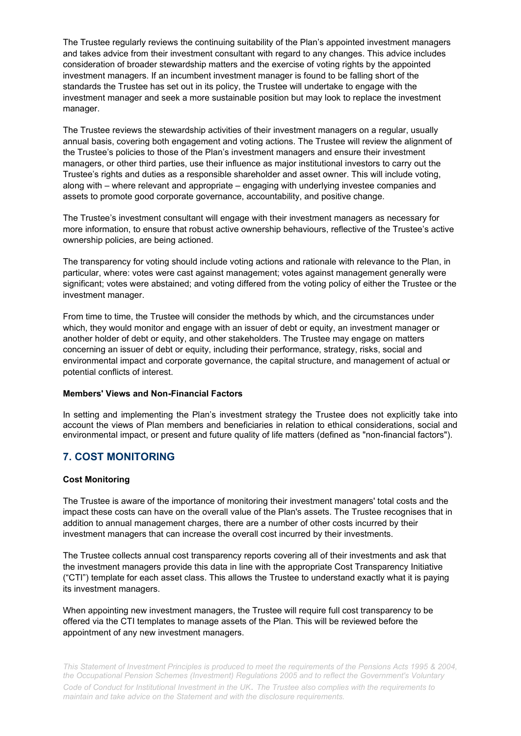The Trustee regularly reviews the continuing suitability of the Plan's appointed investment managers and takes advice from their investment consultant with regard to any changes. This advice includes consideration of broader stewardship matters and the exercise of voting rights by the appointed investment managers. If an incumbent investment manager is found to be falling short of the standards the Trustee has set out in its policy, the Trustee will undertake to engage with the investment manager and seek a more sustainable position but may look to replace the investment manager.

The Trustee reviews the stewardship activities of their investment managers on a regular, usually annual basis, covering both engagement and voting actions. The Trustee will review the alignment of the Trustee's policies to those of the Plan's investment managers and ensure their investment managers, or other third parties, use their influence as major institutional investors to carry out the Trustee's rights and duties as a responsible shareholder and asset owner. This will include voting, along with – where relevant and appropriate – engaging with underlying investee companies and assets to promote good corporate governance, accountability, and positive change.

The Trustee's investment consultant will engage with their investment managers as necessary for more information, to ensure that robust active ownership behaviours, reflective of the Trustee's active ownership policies, are being actioned.

The transparency for voting should include voting actions and rationale with relevance to the Plan, in particular, where: votes were cast against management; votes against management generally were significant; votes were abstained; and voting differed from the voting policy of either the Trustee or the investment manager.

From time to time, the Trustee will consider the methods by which, and the circumstances under which, they would monitor and engage with an issuer of debt or equity, an investment manager or another holder of debt or equity, and other stakeholders. The Trustee may engage on matters concerning an issuer of debt or equity, including their performance, strategy, risks, social and environmental impact and corporate governance, the capital structure, and management of actual or potential conflicts of interest.

#### **Members' Views and Non-Financial Factors**

In setting and implementing the Plan's investment strategy the Trustee does not explicitly take into account the views of Plan members and beneficiaries in relation to ethical considerations, social and environmental impact, or present and future quality of life matters (defined as "non-financial factors").

# **7. COST MONITORING**

#### **Cost Monitoring**

The Trustee is aware of the importance of monitoring their investment managers' total costs and the impact these costs can have on the overall value of the Plan's assets. The Trustee recognises that in addition to annual management charges, there are a number of other costs incurred by their investment managers that can increase the overall cost incurred by their investments.

The Trustee collects annual cost transparency reports covering all of their investments and ask that the investment managers provide this data in line with the appropriate Cost Transparency Initiative ("CTI") template for each asset class. This allows the Trustee to understand exactly what it is paying its investment managers.

When appointing new investment managers, the Trustee will require full cost transparency to be offered via the CTI templates to manage assets of the Plan. This will be reviewed before the appointment of any new investment managers.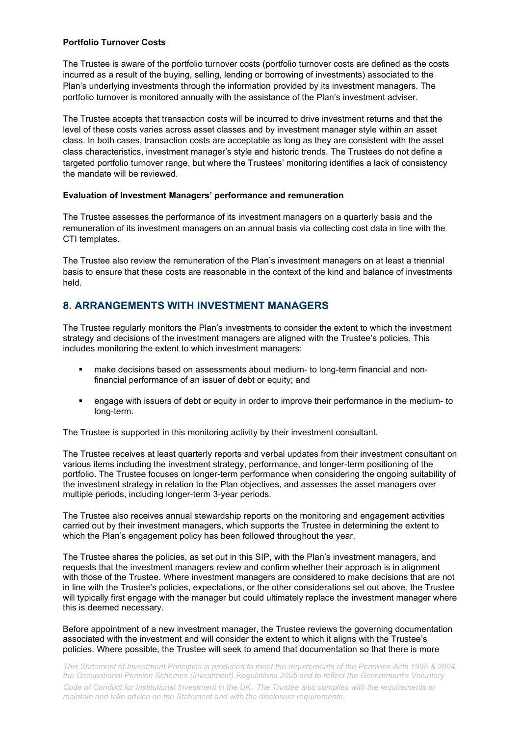#### **Portfolio Turnover Costs**

The Trustee is aware of the portfolio turnover costs (portfolio turnover costs are defined as the costs incurred as a result of the buying, selling, lending or borrowing of investments) associated to the Plan's underlying investments through the information provided by its investment managers. The portfolio turnover is monitored annually with the assistance of the Plan's investment adviser.

The Trustee accepts that transaction costs will be incurred to drive investment returns and that the level of these costs varies across asset classes and by investment manager style within an asset class. In both cases, transaction costs are acceptable as long as they are consistent with the asset class characteristics, investment manager's style and historic trends. The Trustees do not define a targeted portfolio turnover range, but where the Trustees' monitoring identifies a lack of consistency the mandate will be reviewed.

#### **Evaluation of Investment Managers' performance and remuneration**

The Trustee assesses the performance of its investment managers on a quarterly basis and the remuneration of its investment managers on an annual basis via collecting cost data in line with the CTI templates.

The Trustee also review the remuneration of the Plan's investment managers on at least a triennial basis to ensure that these costs are reasonable in the context of the kind and balance of investments held.

# **8. ARRANGEMENTS WITH INVESTMENT MANAGERS**

The Trustee regularly monitors the Plan's investments to consider the extent to which the investment strategy and decisions of the investment managers are aligned with the Trustee's policies. This includes monitoring the extent to which investment managers:

- make decisions based on assessments about medium- to long-term financial and nonfinancial performance of an issuer of debt or equity; and
- engage with issuers of debt or equity in order to improve their performance in the medium- to long-term.

The Trustee is supported in this monitoring activity by their investment consultant.

The Trustee receives at least quarterly reports and verbal updates from their investment consultant on various items including the investment strategy, performance, and longer-term positioning of the portfolio. The Trustee focuses on longer-term performance when considering the ongoing suitability of the investment strategy in relation to the Plan objectives, and assesses the asset managers over multiple periods, including longer-term 3-year periods.

The Trustee also receives annual stewardship reports on the monitoring and engagement activities carried out by their investment managers, which supports the Trustee in determining the extent to which the Plan's engagement policy has been followed throughout the year.

The Trustee shares the policies, as set out in this SIP, with the Plan's investment managers, and requests that the investment managers review and confirm whether their approach is in alignment with those of the Trustee. Where investment managers are considered to make decisions that are not in line with the Trustee's policies, expectations, or the other considerations set out above, the Trustee will typically first engage with the manager but could ultimately replace the investment manager where this is deemed necessary.

Before appointment of a new investment manager, the Trustee reviews the governing documentation associated with the investment and will consider the extent to which it aligns with the Trustee's policies. Where possible, the Trustee will seek to amend that documentation so that there is more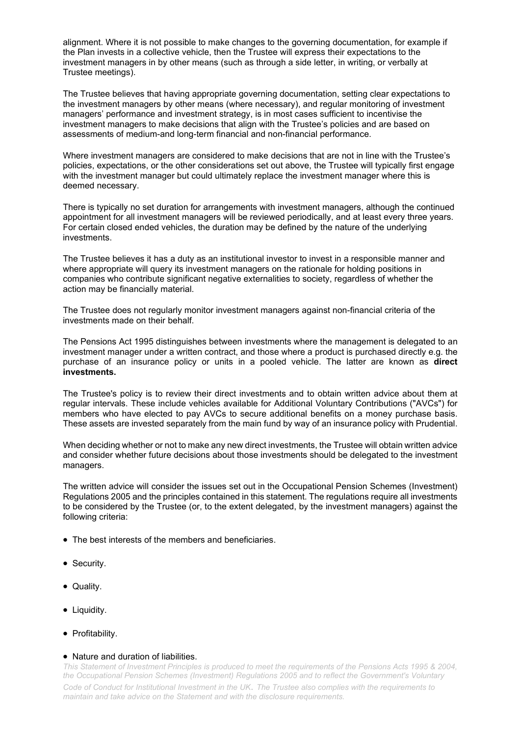alignment. Where it is not possible to make changes to the governing documentation, for example if the Plan invests in a collective vehicle, then the Trustee will express their expectations to the investment managers in by other means (such as through a side letter, in writing, or verbally at Trustee meetings).

The Trustee believes that having appropriate governing documentation, setting clear expectations to the investment managers by other means (where necessary), and regular monitoring of investment managers' performance and investment strategy, is in most cases sufficient to incentivise the investment managers to make decisions that align with the Trustee's policies and are based on assessments of medium-and long-term financial and non-financial performance.

Where investment managers are considered to make decisions that are not in line with the Trustee's policies, expectations, or the other considerations set out above, the Trustee will typically first engage with the investment manager but could ultimately replace the investment manager where this is deemed necessary.

There is typically no set duration for arrangements with investment managers, although the continued appointment for all investment managers will be reviewed periodically, and at least every three years. For certain closed ended vehicles, the duration may be defined by the nature of the underlying investments.

The Trustee believes it has a duty as an institutional investor to invest in a responsible manner and where appropriate will query its investment managers on the rationale for holding positions in companies who contribute significant negative externalities to society, regardless of whether the action may be financially material.

The Trustee does not regularly monitor investment managers against non-financial criteria of the investments made on their behalf.

The Pensions Act 1995 distinguishes between investments where the management is delegated to an investment manager under a written contract, and those where a product is purchased directly e.g. the purchase of an insurance policy or units in a pooled vehicle. The latter are known as **direct investments.**

The Trustee's policy is to review their direct investments and to obtain written advice about them at regular intervals. These include vehicles available for Additional Voluntary Contributions ("AVCs") for members who have elected to pay AVCs to secure additional benefits on a money purchase basis. These assets are invested separately from the main fund by way of an insurance policy with Prudential.

When deciding whether or not to make any new direct investments, the Trustee will obtain written advice and consider whether future decisions about those investments should be delegated to the investment managers.

The written advice will consider the issues set out in the Occupational Pension Schemes (Investment) Regulations 2005 and the principles contained in this statement. The regulations require all investments to be considered by the Trustee (or, to the extent delegated, by the investment managers) against the following criteria:

- The best interests of the members and beneficiaries.
- Security.
- Quality.
- Liquidity.
- Profitability.

#### • Nature and duration of liabilities.